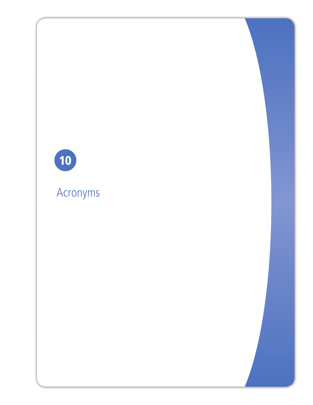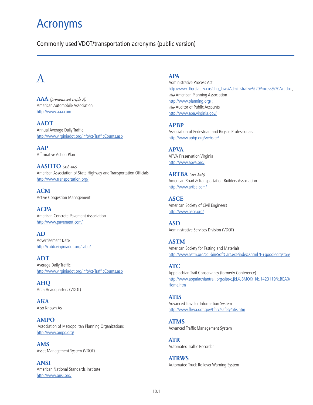## Acronyms

Commonly used VDOT/transportation acronyms (public version)

## A

**AAA** *(pronounced triple A)*  American Automobile Association http://www.aaa.com

**AADT** Annual Average Daily Traffic http://www.virginiadot.org/info/ct-TrafficCounts.asp

**AAP** Affirmative Action Plan

**AASHTO** *(ash-toe)* American Association of State Highway and Transportation Officials http://www.transportation.org/

**ACM**  Active Congestion Management

**ACPA**  American Concrete Pavement Association http://www.pavement.com/

**AD**  Advertisement Date http://cabb.virginiadot.org/cabb/

**ADT**  Average Daily Traffic http://www.virginiadot.org/info/ct-TrafficCounts.asp

**AHQ**  Area Headquarters (VDOT)

**AKA**  Also Known As

**AMPO** Association of Metropolitan Planning Organizations http://www.ampo.org/

**AMS**  Asset Management System (VDOT)

**ANSI** American National Standards Institute http://www.ansi.org/

#### **APA**

Administrative Process Act http://www.dhp.state.va.us/dhp\_laws/Administrative%20Process%20Act.doc ; *also* American Planning Association http://www.planning.org/ ; *also* Auditor of Public Accounts http://www.apa.virginia.gov/

#### **APBP**

Association of Pedestrian and Bicycle Professionals http://www.apbp.org/website/

**APVA**  APVA Preservation Virginia http://www.apva.org/

**ARTBA** *(art-bah)* American Road & Transportation Builders Association http://www.artba.com/

**ASCE**  American Society of Civil Engineers http://www.asce.org/

**ASD**  Administrative Services Division (VDOT)

**ASTM** American Society for Testing and Materials http://www.astm.org/cgi-bin/SoftCart.exe/index.shtml?E+googleorgstore

#### **ATC**

Appalachian Trail Conservancy (formerly Conference) http://www.appalachiantrail.org/site/c.jkLXJ8MQKtH/b.1423119/k.BEA0/ Home.htm

**ATIS**  Advanced Traveler Information System http://www.fhwa.dot.gov/tfhrc/safety/atis.htm

**ATMS**  Advanced Traffic Management System

**ATR**  Automated Traffic Recorder

**ATRWS**  Automated Truck Rollover Warning System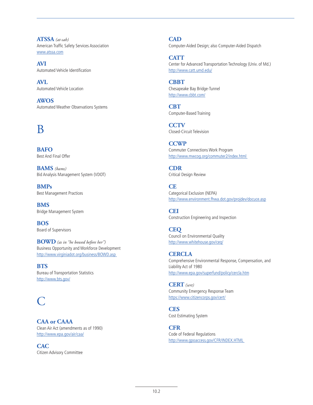**ATSSA** *(at-sah)*  American Traffic Safety Services Association www.atssa.com

**AVI**  Automated Vehicle Identification

**AVL**  Automated Vehicle Location

**AWOS**  Automated Weather Observations Systems

### B

**BAFO**  Best And Final Offer

**BAMS** *(bams)* Bid Analysis Management System (VDOT)

**BMPs**  Best Management Practices

**BMS**  Bridge Management System

**BOS**  Board of Supervisors

**BOWD** *(as in "he bowed before her")* Business Opportunity and Workforce Development http://www.virginiadot.org/business/BOWD.asp

**BTS**  Bureau of Transportation Statistics http://www.bts.gov/

### $\bigcap$

**CAA or CAAA** Clean Air Act (amendments as of 1990) http://www.epa.gov/air/caa/

**CAC**  Citizen Advisory Committee **CAD** 

Computer-Aided Design; also Computer-Aided Dispatch

**CATT**  Center for Advanced Transportation Technology (Univ. of Md.) http://www.catt.umd.edu/

**CBBT**  Chesapeake Bay Bridge-Tunnel http://www.cbbt.com/

**CBT**  Computer-Based Training

**CCTV**  Closed-Circuit Television

**CCWP**  Commuter Connections Work Program http://www.mwcog.org/commuter2/index.html

**CDR**  Critical Design Review

**CE**  Categorical Exclusion (NEPA) http://www.environment.fhwa.dot.gov/projdev/docuce.asp

**CEI**  Construction Engineering and Inspection

**CEQ**  Council on Environmental Quality http://www.whitehouse.gov/ceq/

**CERCLA**  Comprehensive Environmental Response, Compensation, and Liability Act of 1980 http://www.epa.gov/superfund/policy/cercla.htm

**CERT** *(sert)*  Community Emergency Response Team https://www.citizencorps.gov/cert/

**CES**  Cost Estimating System

**CFR**  Code of Federal Regulations http://www.gpoaccess.gov/CFR/INDEX.HTML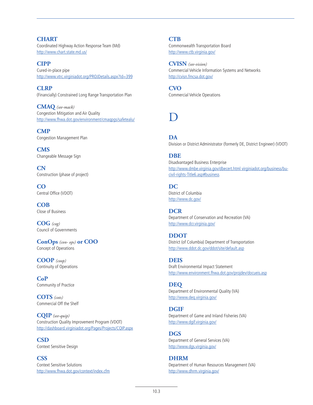**CHART** Coordinated Highway Action Response Team (Md) http://www.chart.state.md.us/

**CIPP**  Cured-in-place pipe http://www.vtrc.virginiadot.org/PROJDetails.aspx?Id=399

**CLRP**  (Financially) Constrained Long Range Transportation Plan

**CMAQ** *(see-mack)* Congestion Mitigation and Air Quality http://www.fhwa.dot.gov/environment/cmaqpgs/safetealu/

**CMP** Congestion Management Plan

**CMS** Changeable Message Sign

**CN** Construction (phase of project)

**CO**  Central Office (VDOT)

**COB**  Close of Business

**COG** *(cog)* Council of Governments

**ConOps** *(con- ops)* **or COO** Concept of Operations

**COOP** *(coop)* Continuity of Operations

**CoP**  Community of Practice

**COTS** *(cots)* Commercial Off the Shelf

**CQIP** *(see-quip)* Construction Quality Improvement Program (VDOT) http://dashboard.virginiadot.org/Pages/Projects/CQIP.aspx

**CSD**  Context Sensitive Design

**CSS**  Context Sensitive Solutions http://www.fhwa.dot.gov/context/index.cfm **CTB** 

Commonwealth Transportation Board http://www.ctb.virginia.gov/

**CVISN** *(see-vision)* Commercial Vehicle Information Systems and Networks http://cvisn.fmcsa.dot.gov/

**CVO** Commercial Vehicle Operations

## D

**DA** 

Division or District Administrator (formerly DE, District Engineer) (VDOT)

#### **DBE**

Disadvantaged Business Enterprise http://www.dmbe.virginia.gov/dbecert.html virginiadot.org/business/bucivil-rights-Title6.asp#business

**DC**  District of Columbia http://www.dc.gov/

**DCR**  Department of Conservation and Recreation (VA) http://www.dcr.virginia.gov/

**DDOT**  District (of Columbia) Department of Transportation http://www.ddot.dc.gov/ddot/site/default.asp

**DEIS**  Draft Environmental Impact Statement http://www.environment.fhwa.dot.gov/projdev/docueis.asp

**DEQ** Department of Environmental Quality (VA) http://www.deq.virginia.gov/

#### **DGIF**

Department of Game and Inland Fisheries (VA) http://www.dgif.virginia.gov/

**DGS** 

Department of General Services (VA) http://www.dgs.virginia.gov/

**DHRM** Department of Human Resources Management (VA) http://www.dhrm.virginia.gov/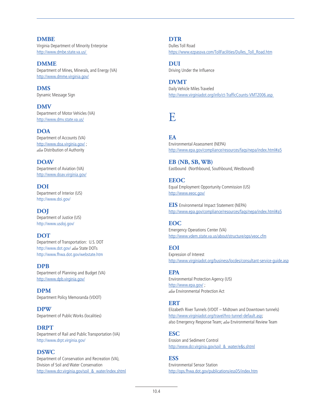**DMBE** Virginia Department of Minority Enterprise http://www.dmbe.state.va.us/

**DMME**  Department of Mines, Minerals, and Energy (VA) http://www.dmme.virginia.gov/

**DMS**  Dynamic Message Sign

**DMV**  Department of Motor Vehicles (VA) http://www.dmv.state.va.us/

**DOA**  Department of Accounts (VA) http://www.doa.virginia.gov/; *also* Distribution of Authority

**DOAV**  Department of Aviation (VA) http://www.doav.virginia.gov/

**DOI**  Department of Interior (US) http://www.doi.gov/

**DOJ**  Department of Justice (US) http://www.usdoj.gov/

**DOT**  Department of Transportation: U.S. DOT http://www.dot.gov/ *also* State DOTs http://www.fhwa.dot.gov/webstate.htm

**DPB**  Department of Planning and Budget (VA) http://www.dpb.virginia.gov/

**DPM**  Department Policy Memoranda (VDOT)

**DPW**  Department of Public Works (localities)

**DRPT**  Department of Rail and Public Transportation (VA) http://www.drpt.virginia.gov/

**DSWC**  Department of Conservation and Recreation (VA), Division of Soil and Water Conservation http://www.dcr.virginia.gov/soil\_&\_water/index.shtml **DTR** 

Dulles Toll Road https://www.ezpassva.com/TollFacilities/Dulles\_Toll\_Road.htm

**DUI**  Driving Under the Influence

**DVMT**  Daily Vehicle Miles Traveled http://www.virginiadot.org/info/ct-TrafficCounts-VMT2006.asp

## E

**EA** 

Environmental Assessment (NEPA) http://www.epa.gov/compliance/resources/faqs/nepa/index.html#a5

**EB (NB, SB, WB)** Eastbound (Northbound, Southbound, Westbound)

**EEOC** Equal Employment Opportunity Commission (US) http://www.eeoc.gov/

**EIS** Environmental Impact Statement (NEPA) http://www.epa.gov/compliance/resources/faqs/nepa/index.html#a5

#### **EOC**

Emergency Operations Center (VA) http://www.vdem.state.va.us/about/structure/ops/veoc.cfm

**EOI** 

Expression of Interest http://www.virginiadot.org/business/locdes/consultant-service-guide.asp

#### **EPA**

Environmental Protection Agency (US) http://www.epa.gov/; *also* Environmental Protection Act

#### **ERT**

Elizabeth River Tunnels (VDOT – Midtown and Downtown tunnels) http://www.virginiadot.org/travel/hro-tunnel-default.asp; also Emergency Response Team; *also* Environmental Review Team

#### **ESC**

Erosion and Sediment Control http://www.dcr.virginia.gov/soil\_&\_water/e&s.shtml

#### **ESS**

Environmental Sensor Station http://ops.fhwa.dot.gov/publications/ess05/index.htm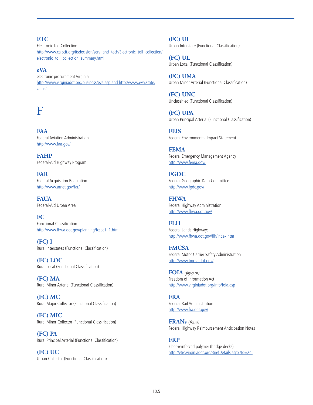#### **ETC**

Electronic Toll Collection http://www.calccit.org/itsdecision/serv\_and\_tech/Electronic\_toll\_collection/ electronic\_toll\_collection\_summary.html

#### **eVA**

electronic procurement Virginia http://www.virginiadot.org/business/eva.asp and http://www.eva.state. va.us/

### F

**FAA** Federal Aviation Administration http://www.faa.gov/

**FAHP** Federal-Aid Highway Program

**FAR** Federal Acquisition Regulation http://www.arnet.gov/far/

**FAUA** Federal-Aid Urban Area

**FC** Functional Classification http://www.fhwa.dot.gov/planning/fcsec1\_1.htm

**(FC) I** Rural Interstates (Functional Classification)

**(FC) LOC** Rural Local (Functional Classification)

**(FC) MA** Rural Minor Arterial (Functional Classification)

**(FC) MC** Rural Major Collector (Functional Classification)

**(FC) MIC** Rural Minor Collector (Functional Classification)

**(FC) PA** Rural Principal Arterial (Functional Classification)

**(FC) UC** Urban Collector (Functional Classification) **(FC) UI** Urban Interstate (Functional Classification)

**(FC) UL** Urban Local (Functional Classification)

**(FC) UMA** Urban Minor Arterial (Functional Classification)

**(FC) UNC** Unclassified (Functional Classification)

**(FC) UPA** Urban Principal Arterial (Functional Classification)

**FEIS** Federal Environmental Impact Statement

**FEMA** Federal Emergency Management Agency http://www.fema.gov/

**FGDC** Federal Geographic Data Committee http://www.fgdc.gov/

**FHWA** Federal Highway Administration http://www.fhwa.dot.gov/

**FLH** Federal Lands Highways http://www.fhwa.dot.gov/flh/index.htm

**FMCSA** Federal Motor Carrier Safety Administration http://www.fmcsa.dot.gov/

**FOIA** *(foy-yah)* Freedom of Information Act http://www.virginiadot.org/info/foia.asp

**FRA** Federal Rail Administration http://www.fra.dot.gov/

**FRANs** *(frans)* Federal Highway Reimbursement Anticipation Notes

**FRP** Fiber-reinforced polymer (bridge decks) http://vtrc.virginiadot.org/BriefDetails.aspx?Id=24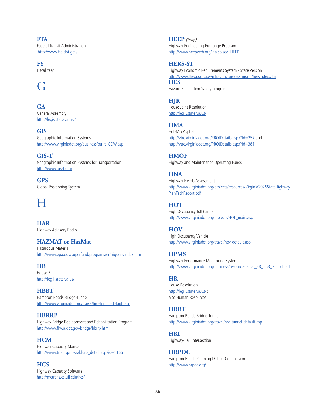**FTA** Federal Transit Administration http://www.fta.dot.gov/

**FY** Fiscal Year

### G

**GA** General Assembly http://legis.state.va.us/#

**GIS** Geographic Information Systems http://www.virginiadot.org/business/bu-it\_GDW.asp

**GIS-T** Geographic Information Systems for Transportation http://www.gis-t.org/

**GPS** Global Positioning System

## $H$

**HAR** Highway Advisory Radio

**HAZMAT or HazMat**

Hazardous Material http://www.epa.gov/superfund/programs/er/triggers/index.htm

**HB** House Bill http://leg1.state.va.us/

**HBBT** Hampton Roads Bridge-Tunnel http://www.virginiadot.org/travel/hro-tunnel-default.asp

**HBRRP** Highway Bridge Replacement and Rehabilitation Program http://www.fhwa.dot.gov/bridge/hbrrp.htm

**HCM** Highway Capacity Manual http://www.trb.org/news/blurb\_detail.asp?id=1166

**HCS** Highway Capacity Software http://mctrans.ce.ufl.edu/hcs/ **HEEP** *(heap)* Highway Engineering Exchange Program http://www.heepweb.org/ ; also see IHEEP

#### **HERS-ST**

Highway Economic Requirements System - State Version http://www.fhwa.dot.gov/infrastructure/asstmgmt/hersindex.cfm **HES** Hazard Elimination Safety program

**HJR** House Joint Resolution

http://leg1.state.va.us/

**HMA** Hot-Mix Asphalt http://vtrc.virginiadot.org/PROJDetails.aspx?Id=257 and http://vtrc.virginiadot.org/PROJDetails.aspx?Id=381

**HMOF** Highway and Maintenance Operating Funds

**HNA** Highway Needs Assessment http://www.virginiadot.org/projects/resources/Virginia2025StateHighway-PlanTechReport.pdf

**HOT** High Occupancy Toll (lane) http://www.virginiadot.org/projects/HOT\_main.asp

**HOV** High Occupancy Vehicle http://www.virginiadot.org/travel/hov-default.asp

**HPMS** Highway Performance Monitoring System http://www.virginiadot.org/business/resources/Final\_SB\_563\_Report.pdf

**HR** House Resolution http://leg1.state.va.us/;

also Human Resources

**HRBT**

Hampton Roads Bridge-Tunnel http://www.virginiadot.org/travel/hro-tunnel-default.asp

**HRI** Highway-Rail Intersection

**HRPDC** Hampton Roads Planning District Commission http://www.hrpdc.org/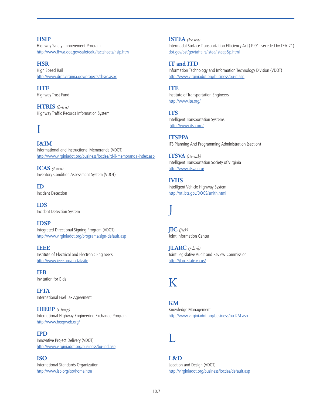**HSIP** Highway Safety Improvement Program http://www.fhwa.dot.gov/safetealu/factsheets/hsip.htm

**HSR** High Speed Rail http://www.drpt.virginia.gov/projects/shsrc.aspx

**HTF** Highway Trust Fund

**HTRIS** *(h-tris)* Highway Traffic Records Information System

## I

**I&IM** Informational and Instructional Memoranda (VDOT) http://www.virginiadot.org/business/locdes/rd-ii-memoranda-index.asp

**ICAS** *(i-cass)* Inventory Condition Assessment System (VDOT)

**ID** Incident Detection

**IDS** Incident Detection System

**IDSP** Integrated Directional Signing Program (VDOT) http://www.virginiadot.org/programs/sign-default.asp

**IEEE** Institute of Electrical and Electronic Engineers http://www.ieee.org/portal/site

**IFB** Invitation for Bids

**IFTA** International Fuel Tax Agreement

**IHEEP** *(i-heap)* International Highway Engineering Exchange Program http://www.heepweb.org/

**IPD** Innovative Project Delivery (VDOT) http://www.virginiadot.org/business/bu-ipd.asp

**ISO** International Standards Organization http://www.iso.org/iso/home.htm

**ISTEA** *(ice tea)* Intermodal Surface Transportation Efficiency Act (1991- seceded by TEA-21) dot.gov/ost/govtaffairs/istea/isteap&p.html

**IT and ITD** Information Technology and Information Technology Division (VDOT) http://www.virginiadot.org/business/bu-it.asp

**ITE** Institute of Transportation Engineers http://www.ite.org/

**ITS** Intelligent Transportation Systems http://www.itsa.org/

**ITSPPA** ITS Planning And Programming Administration (section)

**ITSVA** *(its-vah)* Intelligent Transportation Society of Virginia http://www.itsva.org/

**IVHS** Intelligent Vehicle Highway System http://ntl.bts.gov/DOCS/smith.html

# J

**JIC** *(jick)* Joint Information Center

**JLARC** *(j-lark)* Joint Legislative Audit and Review Commission http://jlarc.state.va.us/

### K

**KM** Knowledge Management http://www.virginiadot.org/business/bu-KM.asp

### L

**L&D** Location and Design (VDOT) http://virginiadot.org/business/locdes/default.asp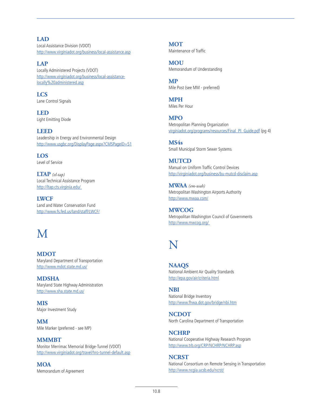**LAD** Local Assistance Division (VDOT) http://www.virginiadot.org/business/local-assistance.asp

**LAP** Locally Administered Projects (VDOT) http://www.virginiadot.org/business/local-assistancelocally%20administered.asp

**LCS** Lane Control Signals

**LED** Light Emitting Diode

**LEED** Leadership in Energy and Environmental Design http://www.usgbc.org/DisplayPage.aspx?CMSPageID=51

**LOS** Level of Service

**LTAP** *(el-tap)* Local Technical Assistance Program http://ltap.cts.virginia.edu/

**LWCF** Land and Water Conservation Fund http://www.fs.fed.us/land/staff/LWCF/

# M

**MDOT** Maryland Department of Transportation http://www.mdot.state.md.us/

**MDSHA** Maryland State Highway Administration http://www.sha.state.md.us/

**MIS** Major Investment Study

**MM** Mile Marker (preferred - see MP)

**MMMBT** Monitor Merrimac Memorial Bridge-Tunnel (VDOT) http://www.virginiadot.org/travel/hro-tunnel-default.asp

**MOA** Memorandum of Agreement

**MOT** Maintenance of Traffic

**MOU** Memorandum of Understanding

**MP** Mile Post (see MM - preferred)

**MPH** Miles Per Hour

**MPO** Metropolitan Planning Organization virginiadot.org/programs/resources/Final\_PI\_Guide.pdf (pg 4)

**MS4s** Small Municipal Storm Sewer Systems

**MUTCD** Manual on Uniform Traffic Control Devices http://virginiadot.org/business/bu-mutcd-disclaim.asp

**MWAA** *(em-wah)* Metropolitan Washington Airports Authority http://www.mwaa.com/

**MWCOG** Metropolitan Washington Council of Governments http://www.mwcog.org/

## N

**NAAQS** National Ambient Air Quality Standards http://epa.gov/air/criteria.html

**NBI** National Bridge Inventory http://www.fhwa.dot.gov/bridge/nbi.htm

**NCDOT** North Carolina Department of Transportation

**NCHRP** National Cooperative Highway Research Program http://www.trb.org/CRP/NCHRP/NCHRP.asp

**NCRST** National Consortium on Remote Sensing in Transportation http://www.ncgia.ucsb.edu/ncrst/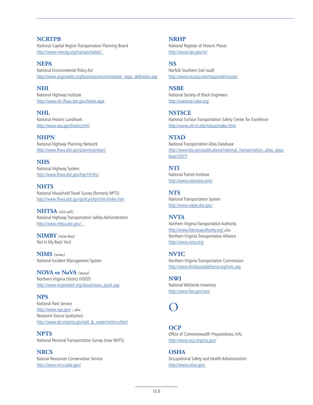#### **NCRTPB** National Capital Region Transportation Planning Board http://www.mwcog.org/transportation/

**NEPA** National Environmental Policy Act http://www.virginiadot.org/business/environmental\_nepa\_definition.asp

**NHI** National Highway Institute http://www.nhi.fhwa.dot.gov/home.aspx

**NHL** National Historic Landmark http://www.nps.gov/history/nhl/

**NHPN** National Highway Planning Network http://www.fhwa.dot.gov/planning/nhpn/

**NHS** National Highway System http://www.fhwa.dot.gov/hep10/nhs/

**NHTS** National Household Travel Survey (formerly NPTS) http://www.fhwa.dot.gov/policy/ohpi/nhts/index.htm

**NHTSA** *(nit-sah)* National Highway Transportation Safety Administration http://www.nhtsa.dot.gov/

**NIMBY** *(nim-bee)* Not In My Back Yard

**NIMS** *(nims)* National Incident Management System

**NOVA or NoVA** *(nova)* Northern Virginia District (VDOT) http://www.virginiadot.org/about/nova\_quick.asp

**NPS** National Park Service http://www.nps.gov/ ; *also* Nonpoint Source (pollution) http://www.dcr.virginia.gov/soil\_&\_water/wintro.shtml

**NPTS** National Personal Transportation Survey (now NHTS)

**NRCS** Natural Resources Conservation Service http://www.nrcs.usda.gov/

**NRHP**

National Register of Historic Places http://www.nps.gov/nr/

#### **NS**

Norfolk Southern (rail road) http://www.nscorp.com/nscportal/nscorp/

**NSBE** National Society of Black Engineers http://national.nsbe.org/

**NSTSCE** National Surface Transportation Safety Center for Excellence http://www.vtti.vt.edu/nstsce/index.html

#### **NTAD**

National Transportation Atlas Database http://www.bts.gov/publications/national\_transportation\_atlas\_database/2007/

### **NTI**

National Transit Institute http://www.ntionline.com/

**NTS** National Transportation System http://www.volpe.dot.gov/

#### **NVTA**

Northern Virginia Transportation Authority http://www.thenovaauthority.org/ *also* Northern Virginia Transportation Alliance http://www.nvta.org/

**NVTC** Northern Virginia Transportation Commission http://www.thinkoutsidethecar.org/nvtc.asp

**NWI** National Wetlands Inventory http://www.fws.gov/nwi/

### O

**OCP** Office of Commonwealth Preparedness (VA) http://www.ocp.virginia.gov/

**OSHA** Occupational Safety and Health Administration http://www.osha.gov/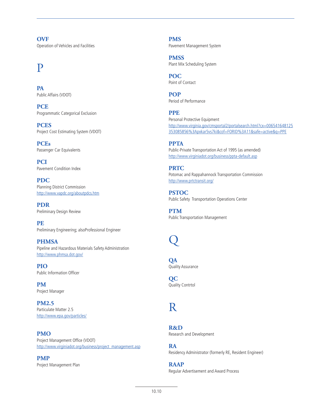**OVF** Operation of Vehicles and Facilities

### P

**PA** Public Affairs (VDOT)

**PCE** Programmatic Categorical Exclusion

**PCES** Project Cost Estimating System (VDOT)

**PCEs** Passenger Car Equivalents

**PCI** Pavement Condition Index

**PDC** Planning District Commission http://www.vapdc.org/aboutpdcs.htm

**PDR** Preliminary Design Review

**PE** Preliminary Engineering; alsoProfessional Engineer

**PHMSA** Pipeline and Hazardous Materials Safety Administration http://www.phmsa.dot.gov/

**PIO** Public Information Officer

**PM** Project Manager

**PM2.5** Particulate Matter 2.5 http://www.epa.gov/particles/

**PMO** Project Management Office (VDOT) http://www.virginiadot.org/business/project\_management.asp

**PMP** Project Management Plan **PMS** Pavement Management System

**PMSS** Plant Mix Scheduling System

**POC** Point of Contact

**POP** Period of Performance

**PPE** Personal Protective Equipment http://www.virginia.gov/cmsportal2/portalsearch.html?cx=006541648125 353085856%3Apxkar5vs7ki&cof=FORID%3A11&safe=active&q=PPE

**PPTA** Public-Private Transportation Act of 1995 (as amended) http://www.virginiadot.org/business/ppta-default.asp

**PRTC** Potomac and Rappahannock Transportation Commission http://www.prtctransit.org/

**PSTOC** Public Safety Transportation Operations Center

**PTM** Public Transportation Management

 $\overline{\mathrm{Q}}$ 

**QA** Quality Assurance

**QC** Quality Contrtol

R

**R&D** Research and Development

**RA** Residency Administrator (formerly RE, Resident Engineer)

**RAAP** Regular Advertisement and Award Process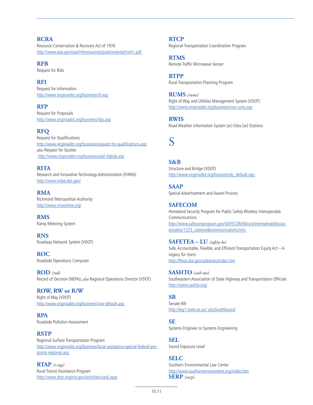#### **RCRA**

Resource Conservation & Recovery Act of 1976 http://www.epa.gov/osw/inforesources/pubs/orientat/rom1.pdf

**RFB** Request for Bids

#### **RFI**

Request for Information http://www.virginiadot.org/business/rfi.asp

**RFP** Request for Proposals http://www.virginiadot.org/business/rfps.asp

#### **RFQ**

Request for Qualifications http://www.virginiadot.org/business/request-for-qualifications.asp; *also* Request for Quotes http://www.virginiadot.org/business/asd-rfqbids.asp

#### **RITA**

Research and Innovative Technology Administration (FHWA) http://www.volpe.dot.gov/

**RMA** Richmond Metropolitan Authority http://www.rmaonline.org/

**RMS** Ramp Metering System

**RNS** Roadway Network System (VDOT)

**ROC** Roadside Operations Computer

**ROD** *(rod)* Record of Decision (NEPA); *also* Regional Operations Director (VDOT)

#### **ROW, RW or R/W**

Right of Way (VDOT) http://www.virginiadot.org/business/row-default.asp

**RPA** Roadside Pollution Assessment

**RSTP** Regional Surface Transportation Program http://www.virginiadot.org/business/local-assistance-special-federal-programs-regional.asp

**RTAP** *(r-tap)* Rural Transit Assistance Program http://www.drpt.virginia.gov/activities/rural.aspx **RTCP** Regional Transportation Coordination Program

**RTMS** Remote Traffic Microwave Sensor

**RTPP** Rural Transportation Planning Program

**RUMS** *(rums)* Right of Way and Utilities Management System (VDOT) http://www.virginiadot.org/business/row-rums.asp

**RWIS** Road Weather Information System (or) Sites (or) Stations

### S

**S&B** Structure and Bridge (VDOT) http://www.virginiadot.org/business/sb\_default.asp\_

**SAAP** Special Advertisement and Award Process

### **SAFECOM**

Homeland Security Program for Public Safety Wireless Interoperable Communications http://www.safecomprogram.gov/SAFECOM/library/interoperabilitycasestudies/1223\_statewidecommunications.htm

**SAFETEA – LU** *(safety-lu)* Safe, Accountable, Flexible, and Efficient Transportation Equity Act – A Legacy for Users http://fhwa.dot.gov/safetealu/index.htm

**SASHTO** *(sash-toe)* Southeastern Association of State Highway and Transportation Officials http://www.sashto.org/

#### **SB**

Senate Bill http://leg1.state.va.us/; alsoSouthbound

#### **SE**

Systems Engineer or Systems Engineering

**SEL** Sound Exposure Level

#### **SELC**

Southern Environmental Law Center http://www.southernenvironment.org/index.htm **SERP** *(surp)*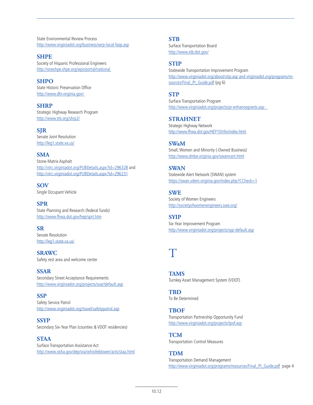State Environmental Review Process http://www.virginiadot.org/business/serp-local-faqs.asp

**SHPE** Society of Hispanic Professional Engineers http://oneshpe.shpe.org/wps/portal/national

**SHPO** State Historic Preservation Office http://www.dhr.virginia.gov/

**SHRP** Strategic Highway Research Program http://www.trb.org/shrp2/

**SJR** Senate Joint Resolution http://leg1.state.va.us/

**SMA** Stone-Matrix Asphalt http://vtrc.virginiadot.org/PUBDetails.aspx?Id=296328 and http://vtrc.virginiadot.org/PUBDetails.aspx?Id=296231

**SOV** Single Occupant Vehicle

**SPR** State Planning and Research (federal funds) http://www.fhwa.dot.gov/hep/sprt.htm

**SR** Senate Resolution http://leg1.state.va.us/

**SRAWC** Safety rest area and welcome center

**SSAR** Secondary Street Acceptance Requirements http://www.virginiadot.org/projects/ssar/default.asp

**SSP** Safety Service Patrol http://www.virginiadot.org/travel/safetypatrol.asp

**SSYP** Secondary Six-Year Plan (counties & VDOT residencies)

**STAA** Surface Transportation Assistance Act http://www.osha.gov/dep/oia/whistleblower/acts/staa.html **STB**

Surface Transportation Board http://www.stb.dot.gov/

#### **STIP**

Statewide Transportation Improvement Program http://www.virginiadot.org/about/stip.asp and virginiadot.org/programs/resources/Final\_PI\_Guide.pdf (pg 6)

**STP**

Surface Transportation Program http://www.virginiadot.org/projects/pr-enhancegrants.asp

**STRAHNET** Strategic Highway Network http://www.fhwa.dot.gov/HEP10/nhs/index.html

**SWaM** Small, Women and Minority (-Owned Business) http://www.dmbe.virginia.gov/swamcert.html

**SWAN** Statewide Alert Network (SWAN) system https://swan.vdem.virginia.gov/index.php?CCheck=1

**SWE** Society of Women Engineers http://societyofwomenengineers.swe.org/

**SYIP** Six-Year Improvement Program http://www.virginiadot.org/projects/syp-default.asp

## $\mathsf T$

**TAMS** Turnkey Asset Management System (VDOT)

**TBD** To Be Determined

**TBOF** Transportation Partnership Opportunity Fund http://www.virginiadot.org/projects/tpof.asp

**TCM** Transportation Control Measures

**TDM** Transportation Demand Management http://www.virginiadot.org/programs/resources/Final\_PI\_Guide.pdf\_page 4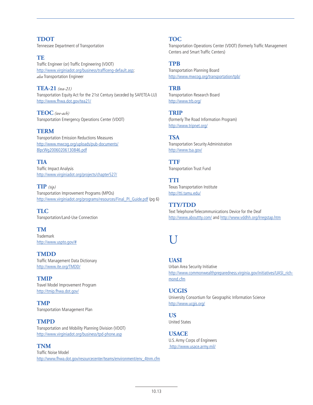**TDOT** Tennessee Department of Transportation

**TE** Traffic Engineer (or) Traffic Engineering (VDOT) http://www.virginiadot.org/business/trafficeng-default.asp; *also* Transportation Engineer

**TEA-21** *(tea-21)* Transportation Equity Act for the 21st Century (seceded by SAFETEA-LU) http://www.fhwa.dot.gov/tea21/

**TEOC** *(tee-ach)* Transportation Emergency Operations Center (VDOT)

**TERM** Transportation Emission Reductions Measures http://www.mwcog.org/uploads/pub-documents/ 8lpcWg20060206130846.pdf

**TIA** Traffic Impact Analysis http://www.virginiadot.org/projects/chapter527/

**TIP** *(tip)* Transportation Improvement Programs (MPOs) http://www.virginiadot.org/programs/resources/Final\_PI\_Guide.pdf (pg 6)

**TLC** Transportation/Land-Use Connection

**TM Trademark** http://www.uspto.gov/#

**TMDD** Traffic Management Data Dictionary http://www.ite.org/TMDD/

**TMIP** Travel Model Improvement Program http://tmip.fhwa.dot.gov/

**TMP** Transportation Management Plan

#### **TMPD**

Transportation and Mobility Planning Division (VDOT) http://www.virginiadot.org/business/tpd-phone.asp

#### **TNM**

Traffic Noise Model http://www.fhwa.dot.gov/resourcecenter/teams/environment/env\_4tnm.cfm

#### **TOC**

Transportation Operations Center (VDOT) (formerly Traffic Management Centers and Smart Traffic Centers)

#### **TPB**

Transportation Planning Board http://www.mwcog.org/transportation/tpb/

**TRB**

Transportation Research Board http://www.trb.org/

**TRIP** (formerly The Road Information Program) http://www.tripnet.org/

**TSA** Transportation Security Administration http://www.tsa.gov/

**TTF** Transportation Trust Fund

**TTI** Texas Transportation Institute http://tti.tamu.edu/

**TTY/TDD** Text Telephone/Telecommunications Device for the Deaf http://www.abouttty.com/ and http://www.vddhh.org/lrregstap.htm

### I I

**UASI** Urban Area Security Initiative http://www.commonwealthpreparedness.virginia.gov/initiatives/UASI\_richmond.cfm

**UCGIS** University Consortium for Geographic Information Science http://www.ucgis.org/

**US** United States

**USACE** U.S. Army Corps of Engineers http://www.usace.army.mil/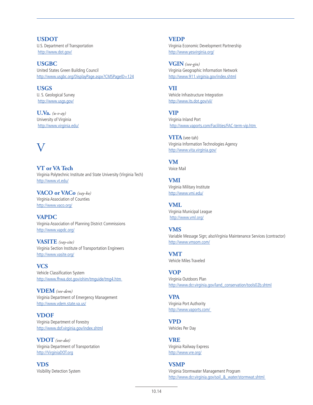**USDOT** U.S. Department of Transportation http://www.dot.gov/

**USGBC** United States Green Building Council http://www.usgbc.org/DisplayPage.aspx?CMSPageID=124

**USGS** U. S. Geological Survey http://www.usgs.gov/

**U.Va.** *(u-v-ay)* University of Virginia http://www.virginia.edu/

### V

**VT or VA Tech** Virginia Polytechnic Institute and State University (Virginia Tech) http://www.vt.edu/

**VACO or VACo** *(vay-ko)* Virginia Association of Counties http://www.vaco.org/

**VAPDC** Virginia Association of Planning District Commissions http://www.vapdc.org/

**VASITE** *(vay-site)* Virginia Section Institute of Transportation Engineers http://www.vasite.org/

**VCS** Vehicle Classification System http://www.fhwa.dot.gov/ohim/tmguide/tmg4.htm

**VDEM** *(vee-dem)* Virginia Department of Emergency Management http://www.vdem.state.va.us/

**VDOF** Virginia Department of Forestry http://www.dof.virginia.gov/index.shtml

**VDOT** *(vee-dot)* Virginia Department of Transportation http://VirginiaDOT.org

**VDS** Visibility Detection System **VEDP**

Virginia Economic Development Partnership http://www.yesvirginia.org/

**VGIN** *(vee-gin)* Virginia Geographic Information Network http://www.911.virginia.gov/index.shtml

**VII**  Vehicle Infrastructure Integration http://www.its.dot.gov/vii/

**VIP** Virginia Inland Port http://www.vaports.com/Facilities/FAC-term-vip.htm

**VITA** (vee-tah) Virginia Information Technologies Agency http://www.vita.virginia.gov/

**VM** Voice Mail

**VMI** Virginia Military Institute http://www.vmi.edu/

**VML** Virginia Municipal League http://www.vml.org/

**VMS** Variable Message Sign; alsoVirginia Maintenance Services (contractor) http://www.vmsom.com/

**VMT** Vehicle Miles Traveled

**VOP** Virginia Outdoors Plan http://www.dcr.virginia.gov/land\_conservation/tools02b.shtml

**VPA** Virginia Port Authority http://www.vaports.com/

**VPD** Vehicles Per Day

**VRE** Virginia Railway Express http://www.vre.org/

**VSMP** Virginia Stormwater Management Program http://www.dcr.virginia.gov/soil & water/stormwat.shtml